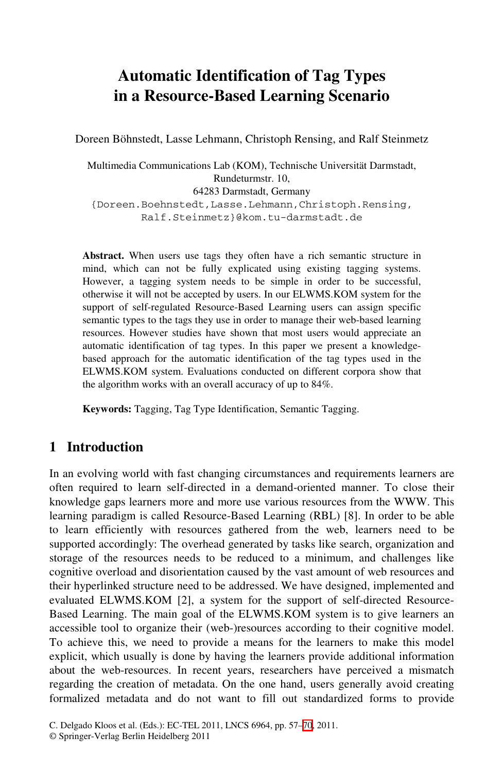# **Automatic Identification of Tag Types in a Resource-Based Learning Scenario**

Doreen Böhnstedt, Lasse Lehmann, Christoph Rensing, and Ralf Steinmetz

Multimedia Communications Lab (KOM), Technische Universität Darmstadt, Rundeturmstr. 10, 64283 Darmstadt, Germany {Doreen.Boehnstedt,Lasse.Lehmann,Christoph.Rensing, Ralf.Steinmetz}@kom.tu-darmstadt.de

**Abstract.** When users use tags they often have a rich semantic structure in mind, which can not be fully explicated using existing tagging systems. However, a tagging system needs to be simple in order to be successful, otherwise it will not be accepted by users. In our ELWMS.KOM system for the support of self-regulated Resource-Based Learning users can assign specific semantic types to the tags they use in order to manage their web-based learning resources. However studies have shown that most users would appreciate an automatic identification of tag types. In this paper we present a knowledgebased approach for the automatic identification of the tag types used in the ELWMS.KOM system. Evaluations conducted on different corpora show that the algorithm works with an overall accuracy of up to 84%.

**Keywords:** Tagging, Tag Type Identification, Semantic Tagging.

## **1 Introduction**

In an evolving world with fast changing circumstances and requirements learners are often required to learn self-directed in a demand-oriented manner. To close their knowledge gaps learners more and more use various resources from the WWW. This learning paradigm is called Resource-Based Learning (RBL) [8]. In order to be able to learn efficiently with resources gathered from the web, learners need to be supported accordingly: The overhead generated by tasks like search, organization and storage of the resources needs to be reduced to a minimum, and challenges like cognitive overload and disorientation caused by the vast amount of web resources and their hyperlinked structure need to be addressed. We have designed, implemented and evaluated ELWMS.KOM [2], a system for the support of self-directed Resource-Based Learning. The main goal of the ELWMS.KOM system is to give learners an accessible tool to organize their (web-)resources according to their cognitive model. To achieve this, we need to provide a means for the learners to make this model explicit, which usually is done by having the learners provide additional information about the web-resources. In recent years, researchers have perceived a mismatch regarding the creation of metadata. On the one hand, users generally avoid creating formalized metadata and do not want to fill out standardized forms to provide

<sup>©</sup> Springer-Verlag Berlin Heidelberg 2011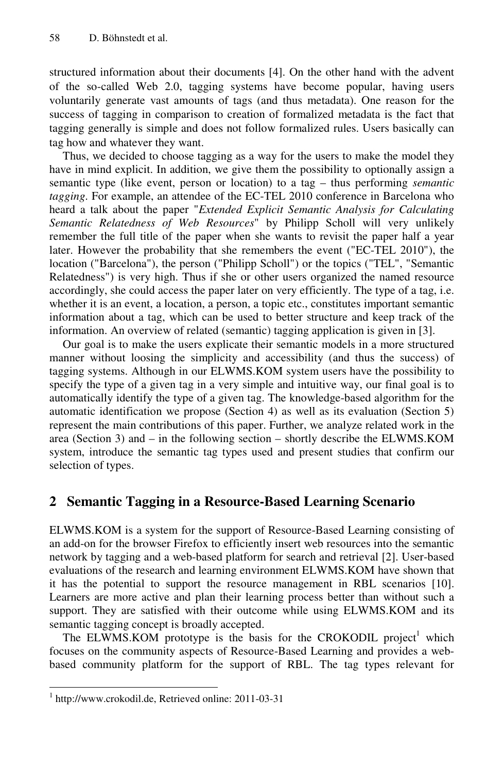structured information about their documents [4]. On the other hand with the advent of the so-called Web 2.0, tagging systems have become popular, having users voluntarily generate vast amounts of tags (and thus metadata). One reason for the success of tagging in comparison to creation of formalized metadata is the fact that tagging generally is simple and does not follow formalized rules. Users basically can tag how and whatever they want.

Thus, we decided to choose tagging as a way for the users to make the model they have in mind explicit. In addition, we give them the possibility to optionally assign a semantic type (like event, person or location) to a tag – thus performing *semantic tagging*. For example, an attendee of the EC-TEL 2010 conference in Barcelona who heard a talk about the paper "*Extended Explicit Semantic Analysis for Calculating Semantic Relatedness of Web Resources*" by Philipp Scholl will very unlikely remember the full title of the paper when she wants to revisit the paper half a year later. However the probability that she remembers the event ("EC-TEL 2010"), the location ("Barcelona"), the person ("Philipp Scholl") or the topics ("TEL", "Semantic Relatedness") is very high. Thus if she or other users organized the named resource accordingly, she could access the paper later on very efficiently. The type of a tag, i.e. whether it is an event, a location, a person, a topic etc., constitutes important semantic information about a tag, which can be used to better structure and keep track of the information. An overview of related (semantic) tagging application is given in [3].

Our goal is to make the users explicate their semantic models in a more structured manner without loosing the simplicity and accessibility (and thus the success) of tagging systems. Although in our ELWMS.KOM system users have the possibility to specify the type of a given tag in a very simple and intuitive way, our final goal is to automatically identify the type of a given tag. The knowledge-based algorithm for the automatic identification we propose (Section 4) as well as its evaluation (Section 5) represent the main contributions of this paper. Further, we analyze related work in the area (Section 3) and – in the following section – shortly describe the ELWMS.KOM system, introduce the semantic tag types used and present studies that confirm our selection of types.

## **2 Semantic Tagging in a Resource-Based Learning Scenario**

ELWMS.KOM is a system for the support of Resource-Based Learning consisting of an add-on for the browser Firefox to efficiently insert web resources into the semantic network by tagging and a web-based platform for search and retrieval [2]. User-based evaluations of the research and learning environment ELWMS.KOM have shown that it has the potential to support the resource management in RBL scenarios [10]. Learners are more active and plan their learning process better than without such a support. They are satisfied with their outcome while using ELWMS.KOM and its semantic tagging concept is broadly accepted.

The ELWMS.KOM prototype is the basis for the CROKODIL project<sup>1</sup> which focuses on the community aspects of Resource-Based Learning and provides a webbased community platform for the support of RBL. The tag types relevant for

-

<sup>1</sup> http://www.crokodil.de, Retrieved online: 2011-03-31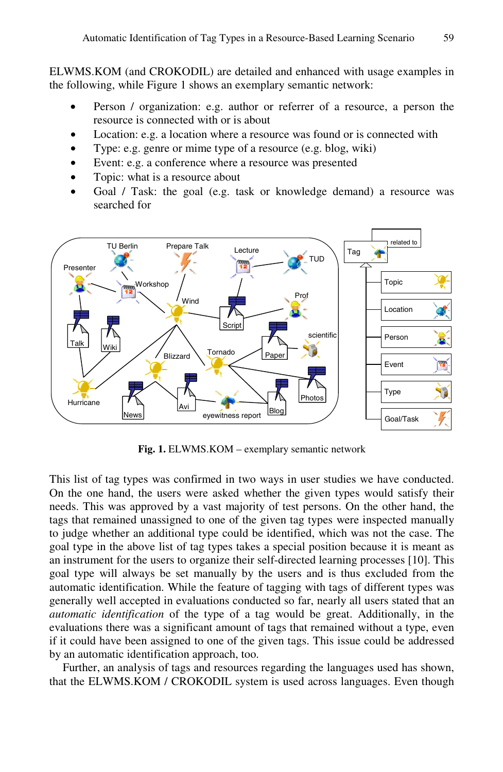ELWMS.KOM (and CROKODIL) are detailed and enhanced with usage examples in the following, while Figure 1 shows an exemplary semantic network:

- Person / organization: e.g. author or referrer of a resource, a person the resource is connected with or is about
- Location: e.g. a location where a resource was found or is connected with
- Type: e.g. genre or mime type of a resource (e.g. blog, wiki)
- Event: e.g. a conference where a resource was presented
- Topic: what is a resource about
- Goal / Task: the goal (e.g. task or knowledge demand) a resource was searched for



**Fig. 1.** ELWMS.KOM – exemplary semantic network

This list of tag types was confirmed in two ways in user studies we have conducted. On the one hand, the users were asked whether the given types would satisfy their needs. This was approved by a vast majority of test persons. On the other hand, the tags that remained unassigned to one of the given tag types were inspected manually to judge whether an additional type could be identified, which was not the case. The goal type in the above list of tag types takes a special position because it is meant as an instrument for the users to organize their self-directed learning processes [10]. This goal type will always be set manually by the users and is thus excluded from the automatic identification. While the feature of tagging with tags of different types was generally well accepted in evaluations conducted so far, nearly all users stated that an *automatic identification* of the type of a tag would be great. Additionally, in the evaluations there was a significant amount of tags that remained without a type, even if it could have been assigned to one of the given tags. This issue could be addressed by an automatic identification approach, too.

Further, an analysis of tags and resources regarding the languages used has shown, that the ELWMS.KOM / CROKODIL system is used across languages. Even though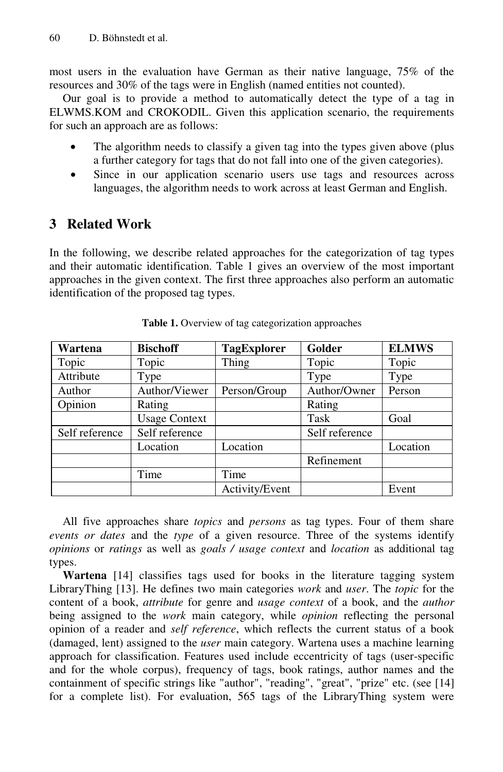most users in the evaluation have German as their native language, 75% of the resources and 30% of the tags were in English (named entities not counted).

Our goal is to provide a method to automatically detect the type of a tag in ELWMS.KOM and CROKODIL. Given this application scenario, the requirements for such an approach are as follows:

- The algorithm needs to classify a given tag into the types given above (plus a further category for tags that do not fall into one of the given categories).
- Since in our application scenario users use tags and resources across languages, the algorithm needs to work across at least German and English.

## **3 Related Work**

In the following, we describe related approaches for the categorization of tag types and their automatic identification. Table 1 gives an overview of the most important approaches in the given context. The first three approaches also perform an automatic identification of the proposed tag types.

| Wartena        | <b>Bischoff</b>      | <b>TagExplorer</b> | Golder         | <b>ELMWS</b> |
|----------------|----------------------|--------------------|----------------|--------------|
| Topic          | Topic                | Thing              | Topic          | Topic        |
| Attribute      | Type                 |                    | Type           | Type         |
| Author         | Author/Viewer        | Person/Group       | Author/Owner   | Person       |
| Opinion        | Rating               |                    | Rating         |              |
|                | <b>Usage Context</b> |                    | Task           | Goal         |
| Self reference | Self reference       |                    | Self reference |              |
|                | Location             | Location           |                | Location     |
|                |                      |                    | Refinement     |              |
|                | Time                 | Time               |                |              |
|                |                      | Activity/Event     |                | Event        |

**Table 1.** Overview of tag categorization approaches

All five approaches share *topics* and *persons* as tag types. Four of them share *events or dates* and the *type* of a given resource. Three of the systems identify *opinions* or *ratings* as well as *goals / usage context* and *location* as additional tag types.

**Wartena** [14] classifies tags used for books in the literature tagging system LibraryThing [13]. He defines two main categories *work* and *user*. The *topic* for the content of a book, *attribute* for genre and *usage context* of a book, and the *author* being assigned to the *work* main category, while *opinion* reflecting the personal opinion of a reader and *self reference*, which reflects the current status of a book (damaged, lent) assigned to the *user* main category. Wartena uses a machine learning approach for classification. Features used include eccentricity of tags (user-specific and for the whole corpus), frequency of tags, book ratings, author names and the containment of specific strings like "author", "reading", "great", "prize" etc. (see [14] for a complete list). For evaluation, 565 tags of the LibraryThing system were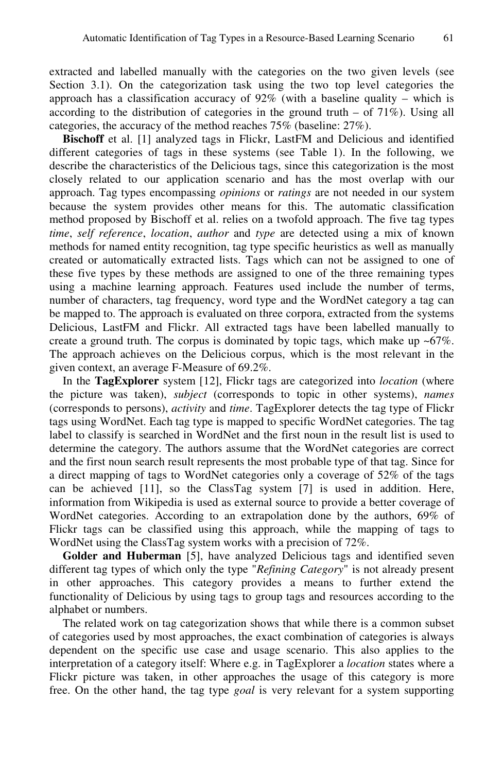extracted and labelled manually with the categories on the two given levels (see Section 3.1). On the categorization task using the two top level categories the approach has a classification accuracy of  $92\%$  (with a baseline quality – which is according to the distribution of categories in the ground truth – of  $71\%$ ). Using all categories, the accuracy of the method reaches 75% (baseline: 27%).

**Bischoff** et al. [1] analyzed tags in Flickr, LastFM and Delicious and identified different categories of tags in these systems (see Table 1). In the following, we describe the characteristics of the Delicious tags, since this categorization is the most closely related to our application scenario and has the most overlap with our approach. Tag types encompassing *opinions* or *ratings* are not needed in our system because the system provides other means for this. The automatic classification method proposed by Bischoff et al. relies on a twofold approach. The five tag types *time*, *self reference*, *location*, *author* and *type* are detected using a mix of known methods for named entity recognition, tag type specific heuristics as well as manually created or automatically extracted lists. Tags which can not be assigned to one of these five types by these methods are assigned to one of the three remaining types using a machine learning approach. Features used include the number of terms, number of characters, tag frequency, word type and the WordNet category a tag can be mapped to. The approach is evaluated on three corpora, extracted from the systems Delicious, LastFM and Flickr. All extracted tags have been labelled manually to create a ground truth. The corpus is dominated by topic tags, which make up  $~67\%$ . The approach achieves on the Delicious corpus, which is the most relevant in the given context, an average F-Measure of 69.2%.

In the **TagExplorer** system [12], Flickr tags are categorized into *location* (where the picture was taken), *subject* (corresponds to topic in other systems), *names* (corresponds to persons), *activity* and *time*. TagExplorer detects the tag type of Flickr tags using WordNet. Each tag type is mapped to specific WordNet categories. The tag label to classify is searched in WordNet and the first noun in the result list is used to determine the category. The authors assume that the WordNet categories are correct and the first noun search result represents the most probable type of that tag. Since for a direct mapping of tags to WordNet categories only a coverage of 52% of the tags can be achieved [11], so the ClassTag system [7] is used in addition. Here, information from Wikipedia is used as external source to provide a better coverage of WordNet categories. According to an extrapolation done by the authors, 69% of Flickr tags can be classified using this approach, while the mapping of tags to WordNet using the ClassTag system works with a precision of 72%.

**Golder and Huberman** [5], have analyzed Delicious tags and identified seven different tag types of which only the type "*Refining Category*" is not already present in other approaches. This category provides a means to further extend the functionality of Delicious by using tags to group tags and resources according to the alphabet or numbers.

The related work on tag categorization shows that while there is a common subset of categories used by most approaches, the exact combination of categories is always dependent on the specific use case and usage scenario. This also applies to the interpretation of a category itself: Where e.g. in TagExplorer a *location* states where a Flickr picture was taken, in other approaches the usage of this category is more free. On the other hand, the tag type *goal* is very relevant for a system supporting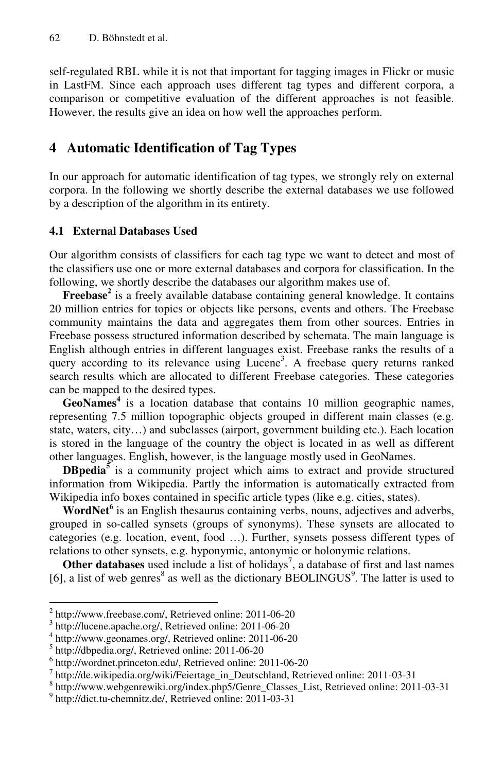self-regulated RBL while it is not that important for tagging images in Flickr or music in LastFM. Since each approach uses different tag types and different corpora, a comparison or competitive evaluation of the different approaches is not feasible. However, the results give an idea on how well the approaches perform.

## **4 Automatic Identification of Tag Types**

In our approach for automatic identification of tag types, we strongly rely on external corpora. In the following we shortly describe the external databases we use followed by a description of the algorithm in its entirety.

### **4.1 External Databases Used**

Our algorithm consists of classifiers for each tag type we want to detect and most of the classifiers use one or more external databases and corpora for classification. In the following, we shortly describe the databases our algorithm makes use of.

Freebase<sup>2</sup> is a freely available database containing general knowledge. It contains 20 million entries for topics or objects like persons, events and others. The Freebase community maintains the data and aggregates them from other sources. Entries in Freebase possess structured information described by schemata. The main language is English although entries in different languages exist. Freebase ranks the results of a query according to its relevance using Lucene<sup>3</sup>. A freebase query returns ranked search results which are allocated to different Freebase categories. These categories can be mapped to the desired types.

**GeoNames<sup>4</sup>** is a location database that contains 10 million geographic names, representing 7.5 million topographic objects grouped in different main classes (e.g. state, waters, city…) and subclasses (airport, government building etc.). Each location is stored in the language of the country the object is located in as well as different other languages. English, however, is the language mostly used in GeoNames.

**DBpedia<sup>5</sup>** is a community project which aims to extract and provide structured information from Wikipedia. Partly the information is automatically extracted from Wikipedia info boxes contained in specific article types (like e.g. cities, states).

WordNet<sup>6</sup> is an English thesaurus containing verbs, nouns, adjectives and adverbs, grouped in so-called synsets (groups of synonyms). These synsets are allocated to categories (e.g. location, event, food …). Further, synsets possess different types of relations to other synsets, e.g. hyponymic, antonymic or holonymic relations.

**Other databases** used include a list of holidays<sup>7</sup>, a database of first and last names [6], a list of web genres<sup>8</sup> as well as the dictionary BEOLINGUS<sup>9</sup>. The latter is used to

-

<sup>2</sup> http://www.freebase.com/, Retrieved online: 2011-06-20

<sup>3</sup> http://lucene.apache.org/, Retrieved online: 2011-06-20

<sup>4</sup> http://www.geonames.org/, Retrieved online: 2011-06-20

<sup>5</sup> http://dbpedia.org/, Retrieved online: 2011-06-20

<sup>6</sup> http://wordnet.princeton.edu/, Retrieved online: 2011-06-20

<sup>&</sup>lt;sup>7</sup> http://de.wikipedia.org/wiki/Feiertage\_in\_Deutschland, Retrieved online: 2011-03-31

<sup>8</sup> http://www.webgenrewiki.org/index.php5/Genre\_Classes\_List, Retrieved online: 2011-03-31

<sup>9</sup> http://dict.tu-chemnitz.de/, Retrieved online: 2011-03-31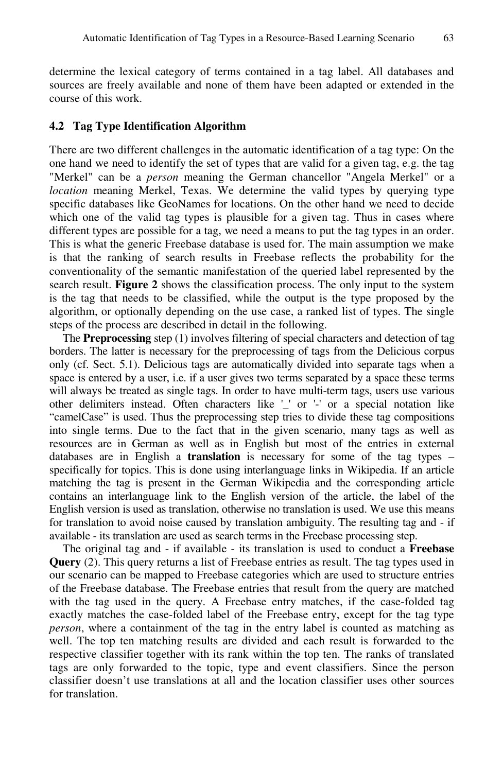determine the lexical category of terms contained in a tag label. All databases and sources are freely available and none of them have been adapted or extended in the course of this work.

#### **4.2 Tag Type Identification Algorithm**

There are two different challenges in the automatic identification of a tag type: On the one hand we need to identify the set of types that are valid for a given tag, e.g. the tag "Merkel" can be a *person* meaning the German chancellor "Angela Merkel" or a *location* meaning Merkel, Texas. We determine the valid types by querying type specific databases like GeoNames for locations. On the other hand we need to decide which one of the valid tag types is plausible for a given tag. Thus in cases where different types are possible for a tag, we need a means to put the tag types in an order. This is what the generic Freebase database is used for. The main assumption we make is that the ranking of search results in Freebase reflects the probability for the conventionality of the semantic manifestation of the queried label represented by the search result. **Figure 2** shows the classification process. The only input to the system is the tag that needs to be classified, while the output is the type proposed by the algorithm, or optionally depending on the use case, a ranked list of types. The single steps of the process are described in detail in the following.

The **Preprocessing** step (1) involves filtering of special characters and detection of tag borders. The latter is necessary for the preprocessing of tags from the Delicious corpus only (cf. Sect. 5.1). Delicious tags are automatically divided into separate tags when a space is entered by a user, i.e. if a user gives two terms separated by a space these terms will always be treated as single tags. In order to have multi-term tags, users use various other delimiters instead. Often characters like '\_' or '-' or a special notation like "camelCase" is used. Thus the preprocessing step tries to divide these tag compositions into single terms. Due to the fact that in the given scenario, many tags as well as resources are in German as well as in English but most of the entries in external databases are in English a **translation** is necessary for some of the tag types – specifically for topics. This is done using interlanguage links in Wikipedia. If an article matching the tag is present in the German Wikipedia and the corresponding article contains an interlanguage link to the English version of the article, the label of the English version is used as translation, otherwise no translation is used. We use this means for translation to avoid noise caused by translation ambiguity. The resulting tag and - if available - its translation are used as search terms in the Freebase processing step.

The original tag and - if available - its translation is used to conduct a **Freebase Query** (2). This query returns a list of Freebase entries as result. The tag types used in our scenario can be mapped to Freebase categories which are used to structure entries of the Freebase database. The Freebase entries that result from the query are matched with the tag used in the query. A Freebase entry matches, if the case-folded tag exactly matches the case-folded label of the Freebase entry, except for the tag type *person*, where a containment of the tag in the entry label is counted as matching as well. The top ten matching results are divided and each result is forwarded to the respective classifier together with its rank within the top ten. The ranks of translated tags are only forwarded to the topic, type and event classifiers. Since the person classifier doesn't use translations at all and the location classifier uses other sources for translation.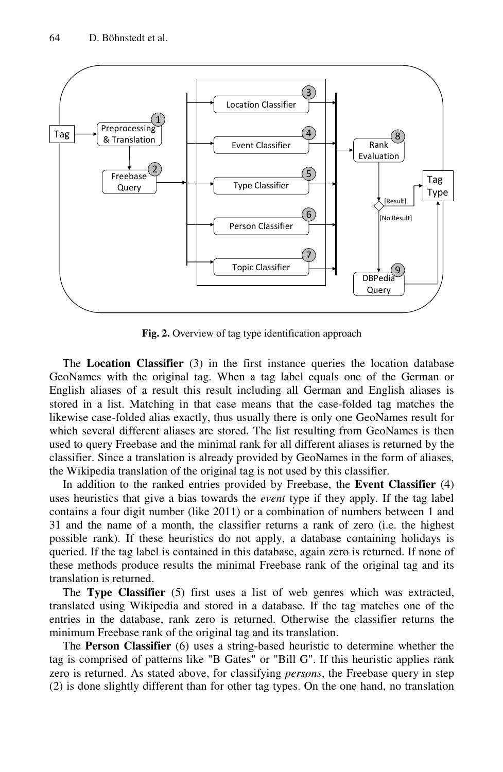

**Fig. 2.** Overview of tag type identification approach

The **Location Classifier** (3) in the first instance queries the location database GeoNames with the original tag. When a tag label equals one of the German or English aliases of a result this result including all German and English aliases is stored in a list. Matching in that case means that the case-folded tag matches the likewise case-folded alias exactly, thus usually there is only one GeoNames result for which several different aliases are stored. The list resulting from GeoNames is then used to query Freebase and the minimal rank for all different aliases is returned by the classifier. Since a translation is already provided by GeoNames in the form of aliases, the Wikipedia translation of the original tag is not used by this classifier.

In addition to the ranked entries provided by Freebase, the **Event Classifier** (4) uses heuristics that give a bias towards the *event* type if they apply. If the tag label contains a four digit number (like 2011) or a combination of numbers between 1 and 31 and the name of a month, the classifier returns a rank of zero (i.e. the highest possible rank). If these heuristics do not apply, a database containing holidays is queried. If the tag label is contained in this database, again zero is returned. If none of these methods produce results the minimal Freebase rank of the original tag and its translation is returned.

The **Type Classifier** (5) first uses a list of web genres which was extracted, translated using Wikipedia and stored in a database. If the tag matches one of the entries in the database, rank zero is returned. Otherwise the classifier returns the minimum Freebase rank of the original tag and its translation.

The **Person Classifier** (6) uses a string-based heuristic to determine whether the tag is comprised of patterns like "B Gates" or "Bill G". If this heuristic applies rank zero is returned. As stated above, for classifying *persons*, the Freebase query in step (2) is done slightly different than for other tag types. On the one hand, no translation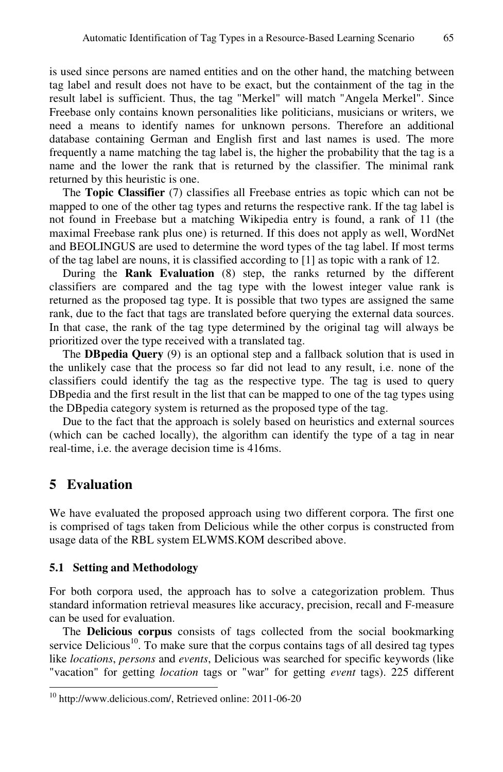is used since persons are named entities and on the other hand, the matching between tag label and result does not have to be exact, but the containment of the tag in the result label is sufficient. Thus, the tag "Merkel" will match "Angela Merkel". Since Freebase only contains known personalities like politicians, musicians or writers, we need a means to identify names for unknown persons. Therefore an additional database containing German and English first and last names is used. The more frequently a name matching the tag label is, the higher the probability that the tag is a name and the lower the rank that is returned by the classifier. The minimal rank returned by this heuristic is one.

The **Topic Classifier** (7) classifies all Freebase entries as topic which can not be mapped to one of the other tag types and returns the respective rank. If the tag label is not found in Freebase but a matching Wikipedia entry is found, a rank of 11 (the maximal Freebase rank plus one) is returned. If this does not apply as well, WordNet and BEOLINGUS are used to determine the word types of the tag label. If most terms of the tag label are nouns, it is classified according to [1] as topic with a rank of 12.

During the **Rank Evaluation** (8) step, the ranks returned by the different classifiers are compared and the tag type with the lowest integer value rank is returned as the proposed tag type. It is possible that two types are assigned the same rank, due to the fact that tags are translated before querying the external data sources. In that case, the rank of the tag type determined by the original tag will always be prioritized over the type received with a translated tag.

The **DBpedia Query** (9) is an optional step and a fallback solution that is used in the unlikely case that the process so far did not lead to any result, i.e. none of the classifiers could identify the tag as the respective type. The tag is used to query DBpedia and the first result in the list that can be mapped to one of the tag types using the DBpedia category system is returned as the proposed type of the tag.

Due to the fact that the approach is solely based on heuristics and external sources (which can be cached locally), the algorithm can identify the type of a tag in near real-time, i.e. the average decision time is 416ms.

### **5 Evaluation**

-

We have evaluated the proposed approach using two different corpora. The first one is comprised of tags taken from Delicious while the other corpus is constructed from usage data of the RBL system ELWMS.KOM described above.

#### **5.1 Setting and Methodology**

For both corpora used, the approach has to solve a categorization problem. Thus standard information retrieval measures like accuracy, precision, recall and F-measure can be used for evaluation.

The **Delicious corpus** consists of tags collected from the social bookmarking service Delicious<sup>10</sup>. To make sure that the corpus contains tags of all desired tag types like *locations*, *persons* and *events*, Delicious was searched for specific keywords (like "vacation" for getting *location* tags or "war" for getting *event* tags). 225 different

<sup>&</sup>lt;sup>10</sup> http://www.delicious.com/, Retrieved online: 2011-06-20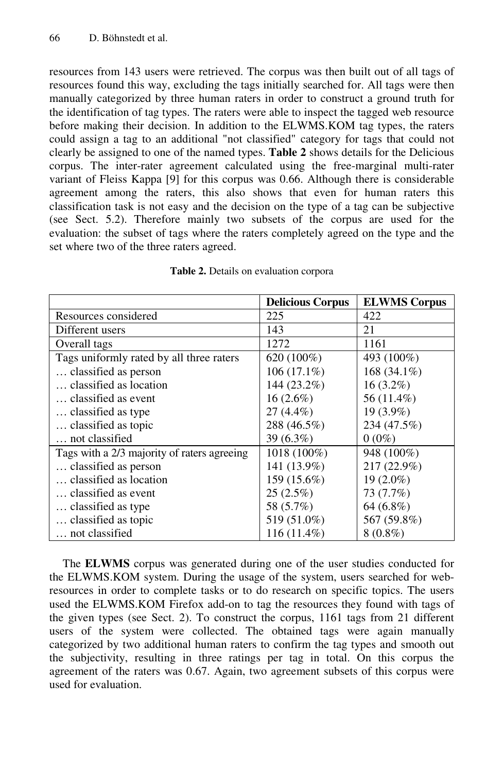resources from 143 users were retrieved. The corpus was then built out of all tags of resources found this way, excluding the tags initially searched for. All tags were then manually categorized by three human raters in order to construct a ground truth for the identification of tag types. The raters were able to inspect the tagged web resource before making their decision. In addition to the ELWMS.KOM tag types, the raters could assign a tag to an additional "not classified" category for tags that could not clearly be assigned to one of the named types. **Table 2** shows details for the Delicious corpus. The inter-rater agreement calculated using the free-marginal multi-rater variant of Fleiss Kappa [9] for this corpus was 0.66. Although there is considerable agreement among the raters, this also shows that even for human raters this classification task is not easy and the decision on the type of a tag can be subjective (see Sect. 5.2). Therefore mainly two subsets of the corpus are used for the evaluation: the subset of tags where the raters completely agreed on the type and the set where two of the three raters agreed.

|                                             | <b>Delicious Corpus</b> | <b>ELWMS</b> Corpus |
|---------------------------------------------|-------------------------|---------------------|
| Resources considered                        | 225                     | 422                 |
| Different users                             | 143                     | 21                  |
| Overall tags                                | 1272                    | 1161                |
| Tags uniformly rated by all three raters    | 620 (100%)              | 493 (100%)          |
| classified as person                        | $106(17.1\%)$           | 168 (34.1%)         |
| classified as location                      | 144 (23.2%)             | $16(3.2\%)$         |
| classified as event                         | $16(2.6\%)$             | 56 (11.4%)          |
| classified as type                          | $27(4.4\%)$             | 19 (3.9%)           |
| classified as topic                         | 288 (46.5%)             | 234 (47.5%)         |
| not classified                              | $39(6.3\%)$             | $0(0\%)$            |
| Tags with a 2/3 majority of raters agreeing | 1018 (100%)             | 948 (100%)          |
| classified as person                        | 141 (13.9%)             | 217 (22.9%)         |
| classified as location                      | 159 (15.6%)             | $19(2.0\%)$         |
| classified as event                         | $25(2.5\%)$             | 73 (7.7%)           |
| classified as type                          | 58 (5.7%)               | 64 (6.8%)           |
| classified as topic                         | 519 (51.0%)             | 567 (59.8%)         |
| not classified                              | $116(11.4\%)$           | $8(0.8\%)$          |

|  | Table 2. Details on evaluation corpora |  |  |  |
|--|----------------------------------------|--|--|--|
|--|----------------------------------------|--|--|--|

The **ELWMS** corpus was generated during one of the user studies conducted for the ELWMS.KOM system. During the usage of the system, users searched for webresources in order to complete tasks or to do research on specific topics. The users used the ELWMS.KOM Firefox add-on to tag the resources they found with tags of the given types (see Sect. 2). To construct the corpus, 1161 tags from 21 different users of the system were collected. The obtained tags were again manually categorized by two additional human raters to confirm the tag types and smooth out the subjectivity, resulting in three ratings per tag in total. On this corpus the agreement of the raters was 0.67. Again, two agreement subsets of this corpus were used for evaluation.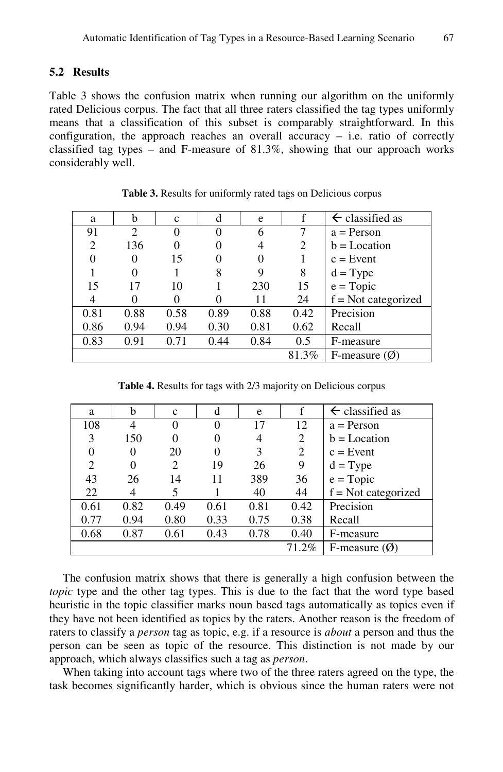### **5.2 Results**

Table 3 shows the confusion matrix when running our algorithm on the uniformly rated Delicious corpus. The fact that all three raters classified the tag types uniformly means that a classification of this subset is comparably straightforward. In this configuration, the approach reaches an overall accuracy – i.e. ratio of correctly classified tag types – and F-measure of 81.3%, showing that our approach works considerably well.

| a              | h             | c      | d    | e    | f     | $\leftarrow$ classified as |
|----------------|---------------|--------|------|------|-------|----------------------------|
| 91             | $\mathcal{D}$ | 0      | 0    | 6    |       | $a = Person$               |
| $\overline{c}$ | 136           | $_{0}$ | 0    |      | 2     | $b =$ Location             |
| 0              | $\theta$      | 15     | 0    |      |       | $c =$ Event                |
|                |               |        | 8    | 9    | 8     | $d = Type$                 |
| 15             | 17            | 10     |      | 230  | 15    | $e = \text{Topic}$         |
| $\overline{4}$ |               |        | 0    | 11   | 24    | $f = Not$ categorized      |
| 0.81           | 0.88          | 0.58   | 0.89 | 0.88 | 0.42  | Precision                  |
| 0.86           | 0.94          | 0.94   | 0.30 | 0.81 | 0.62  | Recall                     |
| 0.83           | 0.91          | 0.71   | 0.44 | 0.84 | 0.5   | F-measure                  |
|                |               |        |      |      | 81.3% | F-measure $(Q)$            |

**Table 3.** Results for uniformly rated tags on Delicious corpus

**Table 4.** Results for tags with 2/3 majority on Delicious corpus

| a    | b    | c    | d    | e    |       | $\leftarrow$ classified as |
|------|------|------|------|------|-------|----------------------------|
| 108  | 4    | 0    | 0    | 17   | 12    | $a = Person$               |
| 3    | 150  |      | 0    | 4    | 2     | $b =$ Location             |
| 0    | 0    | 20   | 0    | 3    | 2     | $c =$ Event                |
| 2    | 0    | 2    | 19   | 26   | 9     | $d = Type$                 |
| 43   | 26   | 14   | 11   | 389  | 36    | $e = \text{Topic}$         |
| 22   | 4    | 5    |      | 40   | 44    | $f = Not$ categorized      |
| 0.61 | 0.82 | 0.49 | 0.61 | 0.81 | 0.42  | Precision                  |
| 0.77 | 0.94 | 0.80 | 0.33 | 0.75 | 0.38  | Recall                     |
| 0.68 | 0.87 | 0.61 | 0.43 | 0.78 | 0.40  | F-measure                  |
|      |      |      |      |      | 71.2% | F-measure (Ø)              |

The confusion matrix shows that there is generally a high confusion between the *topic* type and the other tag types. This is due to the fact that the word type based heuristic in the topic classifier marks noun based tags automatically as topics even if they have not been identified as topics by the raters. Another reason is the freedom of raters to classify a *person* tag as topic, e.g. if a resource is *about* a person and thus the person can be seen as topic of the resource. This distinction is not made by our approach, which always classifies such a tag as *person*.

When taking into account tags where two of the three raters agreed on the type, the task becomes significantly harder, which is obvious since the human raters were not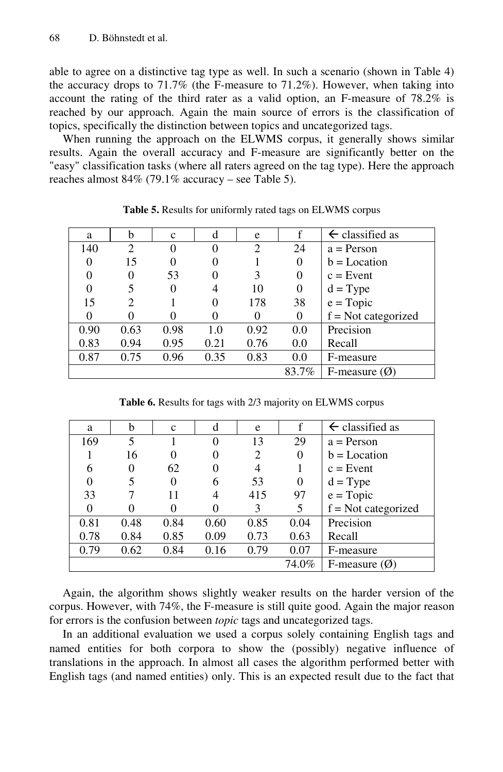able to agree on a distinctive tag type as well. In such a scenario (shown in Table 4) the accuracy drops to 71.7% (the F-measure to 71.2%). However, when taking into account the rating of the third rater as a valid option, an F-measure of 78.2% is reached by our approach. Again the main source of errors is the classification of topics, specifically the distinction between topics and uncategorized tags.

When running the approach on the ELWMS corpus, it generally shows similar results. Again the overall accuracy and F-measure are significantly better on the "easy" classification tasks (where all raters agreed on the tag type). Here the approach reaches almost 84% (79.1% accuracy – see Table 5).

| a    | b              | c        | d        | e              |          | $\leftarrow$ classified as |
|------|----------------|----------|----------|----------------|----------|----------------------------|
| 140  | $\mathfrak{D}$ | $\Omega$ | $\theta$ | $\overline{2}$ | 24       | $a = Person$               |
| 0    | 15             |          |          |                | 0        | $b =$ Location             |
| 0    | 0              | 53       | $\theta$ | 3              | $\theta$ | $c =$ Event                |
| 0    |                |          |          | 10             | $\Omega$ | $d = Type$                 |
| 15   | 2              |          | $\Omega$ | 178            | 38       | $e = \text{Topic}$         |
|      |                |          |          |                | 0        | $f = Not$ categorized      |
| 0.90 | 0.63           | 0.98     | 1.0      | 0.92           | 0.0      | Precision                  |
| 0.83 | 0.94           | 0.95     | 0.21     | 0.76           | 0.0      | Recall                     |
| 0.87 | 0.75           | 0.96     | 0.35     | 0.83           | 0.0      | F-measure                  |
|      |                |          |          |                | 83.7%    | F-measure $(Q)$            |

**Table 5.** Results for uniformly rated tags on ELWMS corpus

**Table 6.** Results for tags with 2/3 majority on ELWMS corpus

| a    | b    | c        | d        | e    |          | $\leftarrow$ classified as |
|------|------|----------|----------|------|----------|----------------------------|
| 169  | 5    |          | $\theta$ | 13   | 29       | $a = Person$               |
|      | 16   | $\Omega$ | 0        | 2    | $\theta$ | $b =$ Location             |
| 6    | 0    | 62       | $\theta$ | 4    |          | $c =$ Event                |
| 0    |      | 0        | 6        | 53   | $\Omega$ | $d = Type$                 |
| 33   |      | 11       |          | 415  | 97       | $e = \text{Topic}$         |
| 0    |      | 0        |          | 3    | 5        | $f = Not$ categorized      |
| 0.81 | 0.48 | 0.84     | 0.60     | 0.85 | 0.04     | Precision                  |
| 0.78 | 0.84 | 0.85     | 0.09     | 0.73 | 0.63     | Recall                     |
| 0.79 | 0.62 | 0.84     | 0.16     | 0.79 | 0.07     | F-measure                  |
|      |      |          |          |      | 74.0%    | F-measure $(Q)$            |

Again, the algorithm shows slightly weaker results on the harder version of the corpus. However, with 74%, the F-measure is still quite good. Again the major reason for errors is the confusion between *topic* tags and uncategorized tags.

In an additional evaluation we used a corpus solely containing English tags and named entities for both corpora to show the (possibly) negative influence of translations in the approach. In almost all cases the algorithm performed better with English tags (and named entities) only. This is an expected result due to the fact that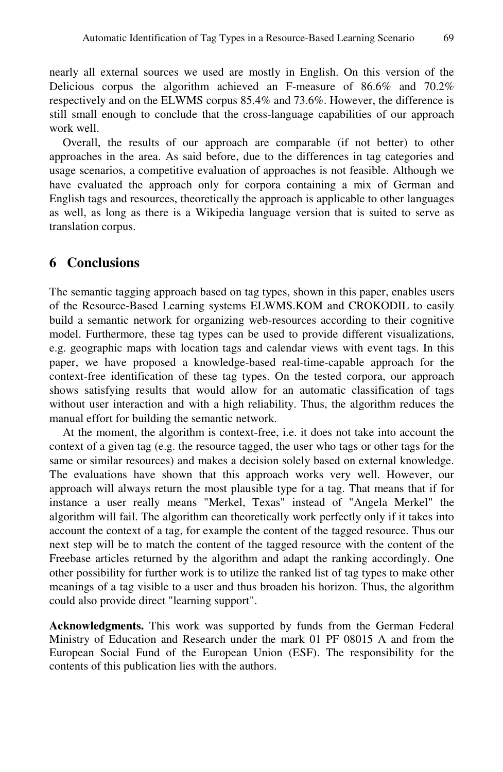nearly all external sources we used are mostly in English. On this version of the Delicious corpus the algorithm achieved an F-measure of 86.6% and 70.2% respectively and on the ELWMS corpus 85.4% and 73.6%. However, the difference is still small enough to conclude that the cross-language capabilities of our approach work well.

Overall, the results of our approach are comparable (if not better) to other approaches in the area. As said before, due to the differences in tag categories and usage scenarios, a competitive evaluation of approaches is not feasible. Although we have evaluated the approach only for corpora containing a mix of German and English tags and resources, theoretically the approach is applicable to other languages as well, as long as there is a Wikipedia language version that is suited to serve as translation corpus.

### **6 Conclusions**

The semantic tagging approach based on tag types, shown in this paper, enables users of the Resource-Based Learning systems ELWMS.KOM and CROKODIL to easily build a semantic network for organizing web-resources according to their cognitive model. Furthermore, these tag types can be used to provide different visualizations, e.g. geographic maps with location tags and calendar views with event tags. In this paper, we have proposed a knowledge-based real-time-capable approach for the context-free identification of these tag types. On the tested corpora, our approach shows satisfying results that would allow for an automatic classification of tags without user interaction and with a high reliability. Thus, the algorithm reduces the manual effort for building the semantic network.

At the moment, the algorithm is context-free, i.e. it does not take into account the context of a given tag (e.g. the resource tagged, the user who tags or other tags for the same or similar resources) and makes a decision solely based on external knowledge. The evaluations have shown that this approach works very well. However, our approach will always return the most plausible type for a tag. That means that if for instance a user really means "Merkel, Texas" instead of "Angela Merkel" the algorithm will fail. The algorithm can theoretically work perfectly only if it takes into account the context of a tag, for example the content of the tagged resource. Thus our next step will be to match the content of the tagged resource with the content of the Freebase articles returned by the algorithm and adapt the ranking accordingly. One other possibility for further work is to utilize the ranked list of tag types to make other meanings of a tag visible to a user and thus broaden his horizon. Thus, the algorithm could also provide direct "learning support".

**Acknowledgments.** This work was supported by funds from the German Federal Ministry of Education and Research under the mark 01 PF 08015 A and from the European Social Fund of the European Union (ESF). The responsibility for the contents of this publication lies with the authors.